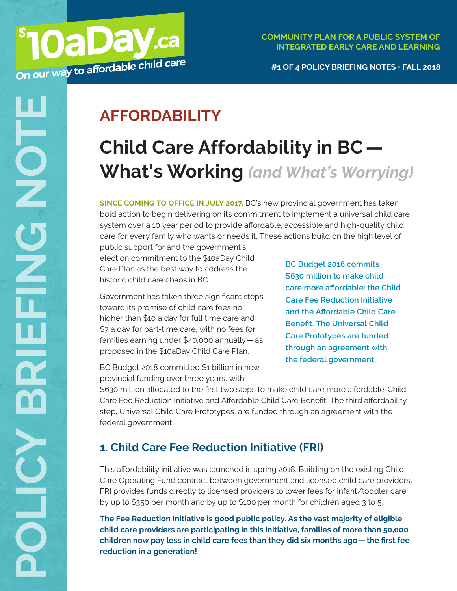# **AFFORDABILITY**

**OaDay.ca** 

# **Child Care Affordability in BC— What's Working** *(and What's Worrying)*

**SINCE COMING TO OFFICE IN JULY 2017,** BC's new provincial government has taken bold action to begin delivering on its commitment to implement a universal child care system over a 10 year period to provide affordable, accessible and high-quality child care for every family who wants or needs it. These actions build on the high level of

public support for and the government's election commitment to the \$10aDay Child Care Plan as the best way to address the historic child care chaos in BC.

Government has taken three significant steps toward its promise of child care fees no higher than \$10 a day for full time care and \$7 a day for part-time care, with no fees for families earning under \$40,000 annually—as proposed in the \$10aDay Child Care Plan.

**BC Budget 2018 commits \$630 million to make child care more affordable: the Child Care Fee Reduction Initiative and the Affordable Child Care Benefit. The Universal Child Care Prototypes are funded through an agreement with the federal government.**

BC Budget 2018 committed \$1 billion in new provincial funding over three years, with

\$630 million allocated to the first two steps to make child care more affordable: Child Care Fee Reduction Initiative and Affordable Child Care Benefit. The third affordability step, Universal Child Care Prototypes, are funded through an agreement with the federal government.

# **1. Child Care Fee Reduction Initiative (FRI)**

This affordability initiative was launched in spring 2018. Building on the existing Child Care Operating Fund contract between government and licensed child care providers, FRI provides funds directly to licensed providers to lower fees for infant/toddler care by up to \$350 per month and by up to \$100 per month for children aged 3 to 5.

**The Fee Reduction Initiative is good public policy. As the vast majority of eligible child care providers are participating in this initiative, families of more than 50,000 children now pay less in child care fees than they did six months ago—the first fee reduction in a generation!**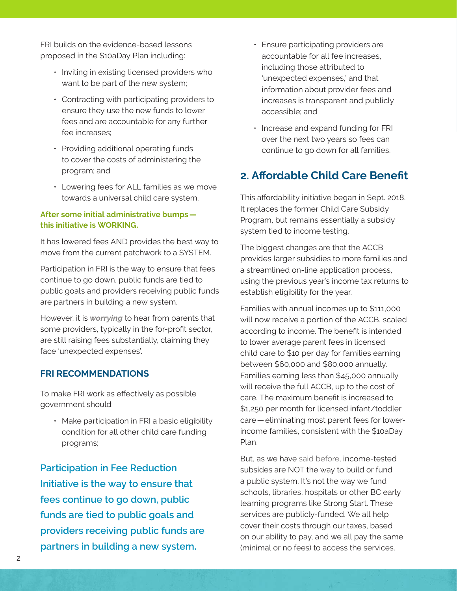FRI builds on the evidence-based lessons proposed in the \$10aDay Plan including:

- Inviting in existing licensed providers who want to be part of the new system;
- Contracting with participating providers to ensure they use the new funds to lower fees and are accountable for any further fee increases;
- Providing additional operating funds to cover the costs of administering the program; and
- Lowering fees for ALL families as we move towards a universal child care system.

#### **After some initial administrative bumps this initiative is WORKING.**

It has lowered fees AND provides the best way to move from the current patchwork to a SYSTEM.

Participation in FRI is the way to ensure that fees continue to go down, public funds are tied to public goals and providers receiving public funds are partners in building a new system.

However, it is *worrying* to hear from parents that some providers, typically in the for-profit sector, are still raising fees substantially, claiming they face 'unexpected expenses'.

#### **FRI RECOMMENDATIONS**

To make FRI work as effectively as possible government should:

• Make participation in FRI a basic eligibility condition for all other child care funding programs;

**Participation in Fee Reduction Initiative is the way to ensure that fees continue to go down, public funds are tied to public goals and providers receiving public funds are partners in building a new system.**

- Ensure participating providers are accountable for all fee increases, including those attributed to 'unexpected expenses,' and that information about provider fees and increases is transparent and publicly accessible; and
- Increase and expand funding for FRI over the next two years so fees can continue to go down for all families.

## **2. Affordable Child Care Benefit**

This affordability initiative began in Sept. 2018. It replaces the former Child Care Subsidy Program, but remains essentially a subsidy system tied to income testing.

The biggest changes are that the ACCB provides larger subsidies to more families and a streamlined on-line application process, using the previous year's income tax returns to establish eligibility for the year.

Families with annual incomes up to \$111,000 will now receive a portion of the ACCB, scaled according to income. The benefit is intended to lower average parent fees in licensed child care to \$10 per day for families earning between \$60,000 and \$80,000 annually. Families earning less than \$45,000 annually will receive the full ACCB, up to the cost of care. The maximum benefit is increased to \$1,250 per month for licensed infant/toddler care—eliminating most parent fees for lowerincome families, consistent with the \$10aDay Plan.

But, as we have [said before](https://d3n8a8pro7vhmx.cloudfront.net/10aday/pages/86/attachments/original/1509139380/10aDay_policy_briefing_note_SUBSIDIES_Oct_2017_web_3.pdf?1509139380), income-tested subsides are NOT the way to build or fund a public system. It's not the way we fund schools, libraries, hospitals or other BC early learning programs like Strong Start. These services are publicly-funded. We all help cover their costs through our taxes, based on our ability to pay, and we all pay the same (minimal or no fees) to access the services.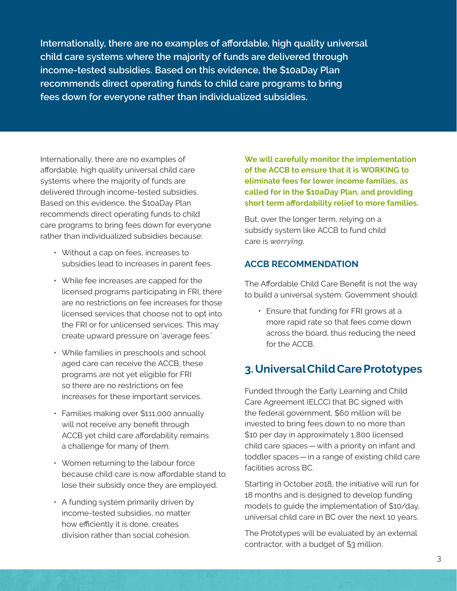**Internationally, there are no examples of affordable, high quality universal child care systems where the majority of funds are delivered through income-tested subsidies. Based on this evidence, the \$10aDay Plan recommends direct operating funds to child care programs to bring fees down for everyone rather than individualized subsidies.**

Internationally, there are no examples of affordable, high quality universal child care systems where the majority of funds are delivered through income-tested subsidies. Based on this evidence, the \$10aDay Plan recommends direct operating funds to child care programs to bring fees down for everyone rather than individualized subsidies because:

- Without a cap on fees, increases to subsidies lead to increases in parent fees.
- While fee increases are capped for the licensed programs participating in FRI, there are no restrictions on fee increases for those licensed services that choose not to opt into the FRI or for unlicensed services. This may create upward pressure on 'average fees.'
- While families in preschools and school aged care can receive the ACCB, these programs are not yet eligible for FRI so there are no restrictions on fee increases for these important services.
- Families making over \$111,000 annually will not receive any benefit through ACCB yet child care affordability remains a challenge for many of them.
- Women returning to the labour force because child care is now affordable stand to lose their subsidy once they are employed.
- A funding system primarily driven by income-tested subsidies, no matter how efficiently it is done, creates division rather than social cohesion.

**We will carefully monitor the implementation of the ACCB to ensure that it is WORKING to eliminate fees for lower income families, as called for in the \$10aDay Plan, and providing short term affordability relief to more families.**

But, over the longer term, relying on a subsidy system like ACCB to fund child care is *worrying.*

#### **ACCB RECOMMENDATION**

The Affordable Child Care Benefit is not the way to build a universal system. Government should:

• Ensure that funding for FRI grows at a more rapid rate so that fees come down across the board, thus reducing the need for the ACCB.

# **3. Universal Child Care Prototypes**

Funded through the Early Learning and Child Care Agreement (ELCC) that BC signed with the federal government, \$60 million will be invested to bring fees down to no more than \$10 per day in approximately 1,800 licensed child care spaces—with a priority on infant and toddler spaces—in a range of existing child care facilities across BC.

Starting in October 2018, the initiative will run for 18 months and is designed to develop funding models to guide the implementation of \$10/day, universal child care in BC over the next 10 years.

The Prototypes will be evaluated by an external contractor, with a budget of \$3 million.